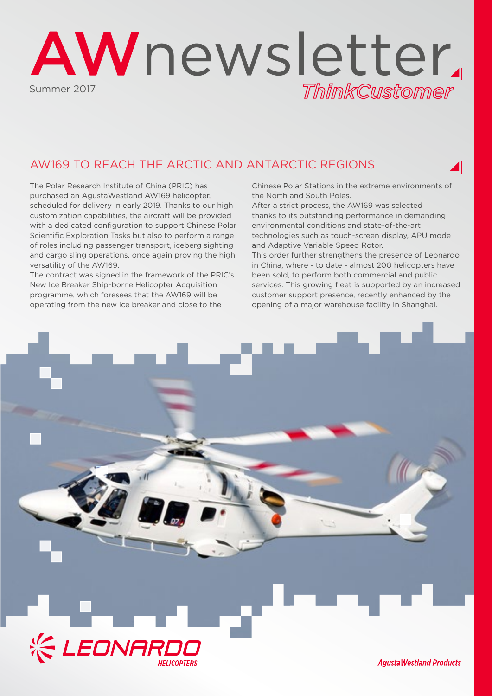

# AW169 TO REACH THE ARCTIC AND ANTARCTIC REGIONS

The Polar Research Institute of China (PRIC) has purchased an AgustaWestland AW169 helicopter, scheduled for delivery in early 2019. Thanks to our high customization capabilities, the aircraft will be provided with a dedicated configuration to support Chinese Polar Scientific Exploration Tasks but also to perform a range of roles including passenger transport, iceberg sighting and cargo sling operations, once again proving the high versatility of the AW169.

The contract was signed in the framework of the PRIC's New Ice Breaker Ship-borne Helicopter Acquisition programme, which foresees that the AW169 will be operating from the new ice breaker and close to the

Chinese Polar Stations in the extreme environments of the North and South Poles.

After a strict process, the AW169 was selected thanks to its outstanding performance in demanding environmental conditions and state-of-the-art technologies such as touch-screen display, APU mode and Adaptive Variable Speed Rotor.

This order further strengthens the presence of Leonardo in China, where - to date - almost 200 helicopters have been sold, to perform both commercial and public services. This growing fleet is supported by an increased customer support presence, recently enhanced by the opening of a major warehouse facility in Shanghai.



**AgustaWestland Products**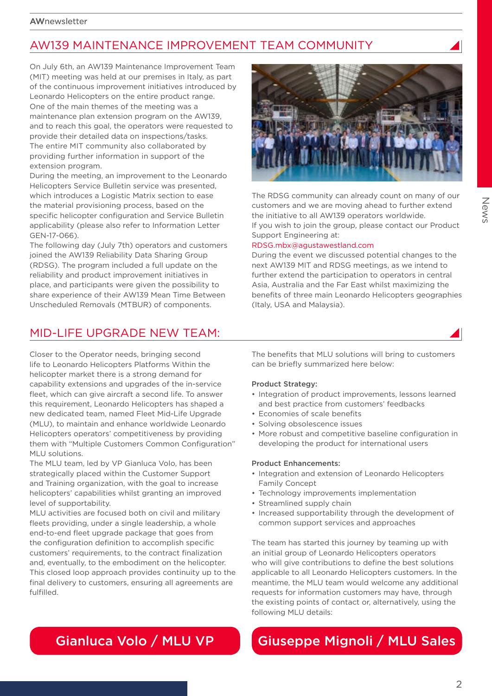# AW139 MAINTENANCE IMPROVEMENT TEAM COMMUNITY

On July 6th, an AW139 Maintenance Improvement Team (MIT) meeting was held at our premises in Italy, as part of the continuous improvement initiatives introduced by Leonardo Helicopters on the entire product range. One of the main themes of the meeting was a maintenance plan extension program on the AW139, and to reach this goal, the operators were requested to provide their detailed data on inspections/tasks. The entire MIT community also collaborated by providing further information in support of the extension program.

During the meeting, an improvement to the Leonardo Helicopters Service Bulletin service was presented, which introduces a Logistic Matrix section to ease the material provisioning process, based on the specific helicopter configuration and Service Bulletin applicability (please also refer to Information Letter GEN-17-066).

The following day (July 7th) operators and customers joined the AW139 Reliability Data Sharing Group (RDSG). The program included a full update on the reliability and product improvement initiatives in place, and participants were given the possibility to share experience of their AW139 Mean Time Between Unscheduled Removals (MTBUR) of components.

### MID-LIFE UPGRADE NEW TEAM:

Closer to the Operator needs, bringing second life to Leonardo Helicopters Platforms Within the helicopter market there is a strong demand for capability extensions and upgrades of the in-service fleet, which can give aircraft a second life. To answer this requirement, Leonardo Helicopters has shaped a new dedicated team, named Fleet Mid-Life Upgrade (MLU), to maintain and enhance worldwide Leonardo Helicopters operators' competitiveness by providing them with "Multiple Customers Common Configuration" MLU solutions.

The MLU team, led by VP Gianluca Volo, has been strategically placed within the Customer Support and Training organization, with the goal to increase helicopters' capabilities whilst granting an improved level of supportability.

MLU activities are focused both on civil and military fleets providing, under a single leadership, a whole end-to-end fleet upgrade package that goes from the configuration definition to accomplish specific customers' requirements, to the contract finalization and, eventually, to the embodiment on the helicopter. This closed loop approach provides continuity up to the final delivery to customers, ensuring all agreements are fulfilled.

The benefits that MLU solutions will bring to customers can be briefly summarized here below:

#### Product Strategy:

- Integration of product improvements, lessons learned and best practice from customers' feedbacks
- Economies of scale benefits
- Solving obsolescence issues
- More robust and competitive baseline configuration in developing the product for international users

#### Product Enhancements:

- Integration and extension of Leonardo Helicopters Family Concept
- Technology improvements implementation
- Streamlined supply chain
- Increased supportability through the development of common support services and approaches

The team has started this journey by teaming up with an initial group of Leonardo Helicopters operators who will give contributions to define the best solutions applicable to all Leonardo Helicopters customers. In the meantime, the MLU team would welcome any additional requests for information customers may have, through the existing points of contact or, alternatively, using the following MLU details:

# Gianluca Volo / MLU VP Giuseppe Mignoli / MLU Sales

#### $\mathcal{P}$



The RDSG community can already count on many of our customers and we are moving ahead to further extend the initiative to all AW139 operators worldwide. If you wish to join the group, please contact our Product Support Engineering at:

### RDSG.mbx@agustawestland.com

During the event we discussed potential changes to the next AW139 MIT and RDSG meetings, as we intend to further extend the participation to operators in central Asia, Australia and the Far East whilst maximizing the benefits of three main Leonardo Helicopters geographies (Italy, USA and Malaysia).

News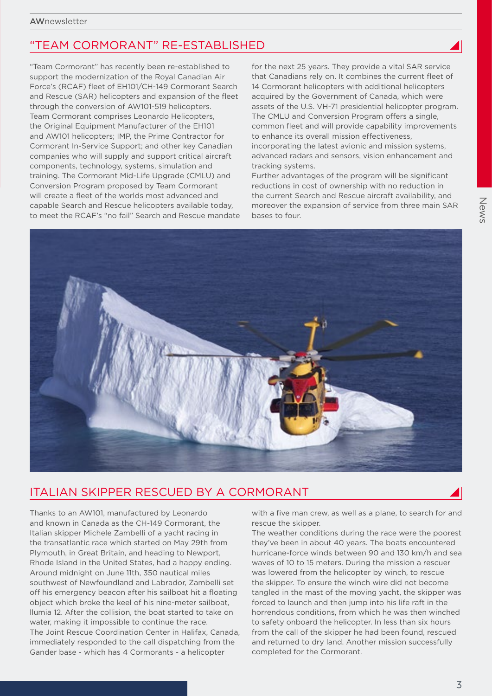### "TEAM CORMORANT" RE-ESTABLISHED

"Team Cormorant" has recently been re-established to support the modernization of the Royal Canadian Air Force's (RCAF) fleet of EH101/CH-149 Cormorant Search and Rescue (SAR) helicopters and expansion of the fleet through the conversion of AW101-519 helicopters. Team Cormorant comprises Leonardo Helicopters, the Original Equipment Manufacturer of the EH101 and AW101 helicopters; IMP, the Prime Contractor for Cormorant In-Service Support; and other key Canadian companies who will supply and support critical aircraft components, technology, systems, simulation and training. The Cormorant Mid-Life Upgrade (CMLU) and Conversion Program proposed by Team Cormorant will create a fleet of the worlds most advanced and capable Search and Rescue helicopters available today, to meet the RCAF's "no fail" Search and Rescue mandate for the next 25 years. They provide a vital SAR service that Canadians rely on. It combines the current fleet of 14 Cormorant helicopters with additional helicopters acquired by the Government of Canada, which were assets of the U.S. VH-71 presidential helicopter program. The CMLU and Conversion Program offers a single, common fleet and will provide capability improvements to enhance its overall mission effectiveness, incorporating the latest avionic and mission systems, advanced radars and sensors, vision enhancement and tracking systems.

Further advantages of the program will be significant reductions in cost of ownership with no reduction in the current Search and Rescue aircraft availability, and moreover the expansion of service from three main SAR bases to four.



### ITALIAN SKIPPER RESCUED BY A CORMORANT

Thanks to an AW101, manufactured by Leonardo and known in Canada as the CH-149 Cormorant, the Italian skipper Michele Zambelli of a yacht racing in the transatlantic race which started on May 29th from Plymouth, in Great Britain, and heading to Newport, Rhode Island in the United States, had a happy ending. Around midnight on June 11th, 350 nautical miles southwest of Newfoundland and Labrador, Zambelli set off his emergency beacon after his sailboat hit a floating object which broke the keel of his nine-meter sailboat, llumia 12. After the collision, the boat started to take on water, making it impossible to continue the race. The Joint Rescue Coordination Center in Halifax, Canada, immediately responded to the call dispatching from the Gander base - which has 4 Cormorants - a helicopter

with a five man crew, as well as a plane, to search for and rescue the skipper.

The weather conditions during the race were the poorest they've been in about 40 years. The boats encountered hurricane-force winds between 90 and 130 km/h and sea waves of 10 to 15 meters. During the mission a rescuer was lowered from the helicopter by winch, to rescue the skipper. To ensure the winch wire did not become tangled in the mast of the moving yacht, the skipper was forced to launch and then jump into his life raft in the horrendous conditions, from which he was then winched to safety onboard the helicopter. In less than six hours from the call of the skipper he had been found, rescued and returned to dry land. Another mission successfully completed for the Cormorant.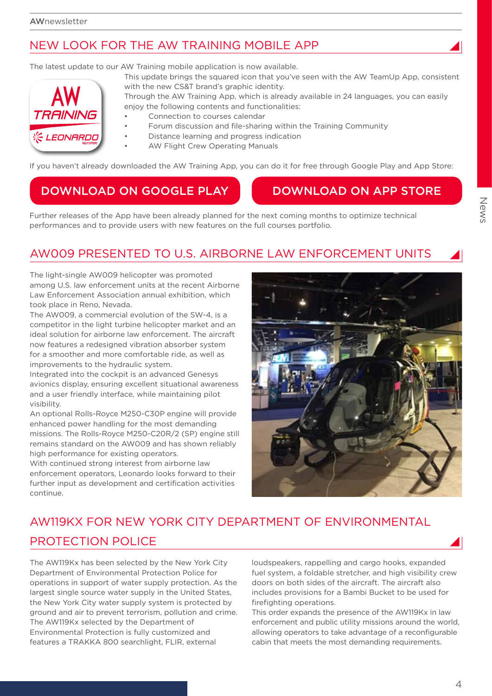# NEW LOOK FOR THE AW TRAINING MOBILE APP

The latest update to our AW Training mobile application is now available.



This update brings the squared icon that you've seen with the AW TeamUp App, consistent with the new CS&T brand's graphic identity.

Through the AW Training App, which is already available in 24 languages, you can easily enjoy the following contents and functionalities:

- Connection to courses calendar
- Forum discussion and file-sharing within the Training Community
- Distance learning and progress indication
	- AW Flight Crew Operating Manuals

If you haven't already downloaded the AW Training App, you can do it for free through Google Play and App Store:

## DOWNLOAD ON GOOGLE PLAY NO DOWNLOAD ON APP STORE

Further releases of the App have been already planned for the next coming months to optimize technical performances and to provide users with new features on the full courses portfolio.

# AW009 PRESENTED TO U.S. AIRBORNE LAW ENFORCEMENT UNITS

The light-single AW009 helicopter was promoted among U.S. law enforcement units at the recent Airborne Law Enforcement Association annual exhibition, which took place in Reno, Nevada.

The AW009, a commercial evolution of the SW-4, is a competitor in the light turbine helicopter market and an ideal solution for airborne law enforcement. The aircraft now features a redesigned vibration absorber system for a smoother and more comfortable ride, as well as improvements to the hydraulic system.

Integrated into the cockpit is an advanced Genesys avionics display, ensuring excellent situational awareness and a user friendly interface, while maintaining pilot visibility.

An optional Rolls-Royce M250-C30P engine will provide enhanced power handling for the most demanding missions. The Rolls-Royce M250-C20R/2 (SP) engine still remains standard on the AW009 and has shown reliably high performance for existing operators.

With continued strong interest from airborne law enforcement operators, Leonardo looks forward to their further input as development and certification activities continue.



# AW119KX FOR NEW YORK CITY DEPARTMENT OF ENVIRONMENTAL PROTECTION POLICE

The AW119Kx has been selected by the New York City Department of Environmental Protection Police for operations in support of water supply protection. As the largest single source water supply in the United States, the New York City water supply system is protected by ground and air to prevent terrorism, pollution and crime. The AW119Kx selected by the Department of Environmental Protection is fully customized and features a TRAKKA 800 searchlight, FLIR, external

loudspeakers, rappelling and cargo hooks, expanded fuel system, a foldable stretcher, and high visibility crew doors on both sides of the aircraft. The aircraft also includes provisions for a Bambi Bucket to be used for firefighting operations.

This order expands the presence of the AW119Kx in law enforcement and public utility missions around the world, allowing operators to take advantage of a reconfigurable cabin that meets the most demanding requirements.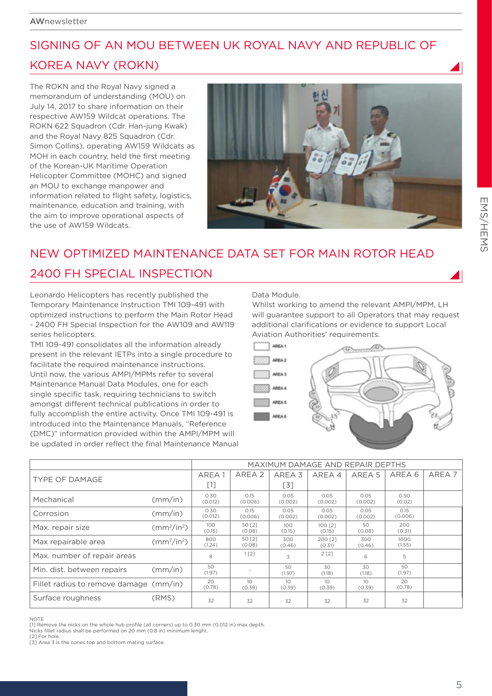# SIGNING OF AN MOU BETWEEN UK ROYAL NAVY AND REPUBLIC OF KOREA NAVY (ROKN)

The ROKN and the Royal Navy signed a memorandum of understanding (MOU) on July 14, 2017 to share information on their respective AW159 Wildcat operations. The ROKN 622 Squadron (Cdr. Han-jung Kwak) and the Royal Navy 825 Squadron (Cdr. Simon Collins), operating AW159 Wildcats as MOH in each country, held the first meeting of the Korean-UK Maritime Operation Helicopter Committee (MOHC) and signed an MOU to exchange manpower and information related to flight safety, logistics, maintenance, education and training, with the aim to improve operational aspects of the use of AW159 Wildcats.



# NEW OPTIMIZED MAINTENANCE DATA SET FOR MAIN ROTOR HEAD 2400 FH SPECIAL INSPECTION

Leonardo Helicopters has recently published the Temporary Maintenance Instruction TMI 109-491 with optimized instructions to perform the Main Rotor Head - 2400 FH Special Inspection for the AW109 and AW119 series helicopters.

TMI 109-491 consolidates all the information already present in the relevant IETPs into a single procedure to facilitate the required maintenance instructions. Until now, the various AMPI/MPMs refer to several Maintenance Manual Data Modules, one for each single specific task, requiring technicians to switch amongst different technical publications in order to fully accomplish the entire activity. Once TMI 109-491 is introduced into the Maintenance Manuals, "Reference (DMC)" information provided within the AMPI/MPM will be updated in order reflect the final Maintenance Manual Data Module.

Whilst working to amend the relevant AMPI/MPM, LH will guarantee support to all Operators that may request additional clarifications or evidence to support Local Aviation Authorities' requirements.



|                                        |                             | MAXIMUM DAMAGE AND REPAIR DEPTHS |                  |                            |                           |                           |                 |                   |
|----------------------------------------|-----------------------------|----------------------------------|------------------|----------------------------|---------------------------|---------------------------|-----------------|-------------------|
| TYPE OF DAMAGE                         |                             | AREA 1                           | AREA 2           | AREA <sub>3</sub>          | AREA 4                    | AREA 5                    | AREA 6          | AREA <sub>7</sub> |
|                                        |                             | $[1]$                            |                  | [3]                        |                           |                           |                 |                   |
| Mechanical                             | (mm/in)                     | 0.30<br>(0.012)                  | 0.15<br>(0.006)  | 0.05<br>(0.002)            | 0.05<br>(0.002)           | 0.05<br>(0.002)           | 0.50<br>(0.02)  |                   |
| Corrosion                              | (mm/in)                     | 0.30<br>(0.012)                  | 0.15<br>(0.006)  | 0.05<br>(0.002)            | 0.05<br>(0.002)           | 0.05<br>(0.002)           | 0.15<br>(0.006) |                   |
| Max. repair size                       | $\text{(mm}^2/\text{in}^2)$ | 100<br>(0.15)                    | 50 [2]<br>(0.08) | 100 <sub>o</sub><br>(0.15) | 100 <b>[2]</b><br>(0.15)  | 50<br>(0.08)              | 200<br>(0.31)   |                   |
| Max repairable area                    | $\text{(mm}^2/\text{in}^2)$ | 800<br>(1.24)                    | 50 [2]<br>(0.08) | 300<br>(0.46)              | 200 [2]<br>(0.31)         | 300<br>(0.46)             | 1000<br>(1.55)  |                   |
| Max. number of repair areas            |                             | 8                                | $1$ [2]          | 3                          | 2[2]                      | 6                         | 5               |                   |
| Min. dist. between repairs             | (mm/in)                     | 50<br>(1.97)                     |                  | 50<br>(1.97)               | 30<br>(1.18)              | 30<br>(1.18)              | 50<br>(1.97)    |                   |
| Fillet radius to remove damage (mm/in) |                             | 20<br>(0.78)                     | 10<br>(0.39)     | 10<br>(0.39)               | 10 <sup>°</sup><br>(0.39) | 10 <sup>°</sup><br>(0.39) | 20<br>(0.78)    |                   |
| Surface roughness                      | (RMS)                       | 32                               | 32               | 32                         | 32                        | 32                        | 32              |                   |

NOTE

 $\frac{1}{2}$  [1] Remove the nicks on the whole hub profile (all corners) up to 0.30 mm (0.012 in) max depth.

Nicks fillet radius shall be performed on 20 mm (0.8 in) minimum lenght. [2] For hole

[3] Area 3 is the cones top and bottom mating surface.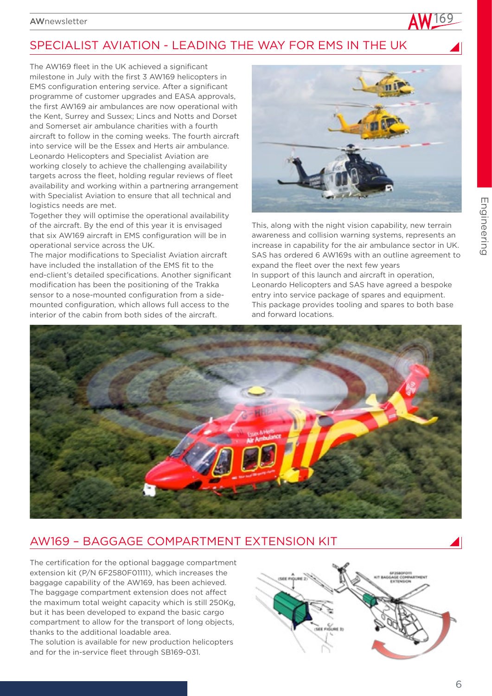# SPECIALIST AVIATION - LEADING THE WAY FOR EMS IN THE UK

The AW169 fleet in the UK achieved a significant milestone in July with the first 3 AW169 helicopters in EMS configuration entering service. After a significant programme of customer upgrades and EASA approvals, the first AW169 air ambulances are now operational with the Kent, Surrey and Sussex; Lincs and Notts and Dorset and Somerset air ambulance charities with a fourth aircraft to follow in the coming weeks. The fourth aircraft into service will be the Essex and Herts air ambulance. Leonardo Helicopters and Specialist Aviation are working closely to achieve the challenging availability targets across the fleet, holding regular reviews of fleet availability and working within a partnering arrangement with Specialist Aviation to ensure that all technical and logistics needs are met.

Together they will optimise the operational availability of the aircraft. By the end of this year it is envisaged that six AW169 aircraft in EMS configuration will be in operational service across the UK.

The major modifications to Specialist Aviation aircraft have included the installation of the EMS fit to the end-client's detailed specifications. Another significant modification has been the positioning of the Trakka sensor to a nose-mounted configuration from a sidemounted configuration, which allows full access to the interior of the cabin from both sides of the aircraft.



This, along with the night vision capability, new terrain awareness and collision warning systems, represents an increase in capability for the air ambulance sector in UK. SAS has ordered 6 AW169s with an outline agreement to expand the fleet over the next few years In support of this launch and aircraft in operation, Leonardo Helicopters and SAS have agreed a bespoke entry into service package of spares and equipment. This package provides tooling and spares to both base and forward locations.



# AW169 – BAGGAGE COMPARTMENT EXTENSION KIT

The certification for the optional baggage compartment extension kit (P/N 6F2580F01111), which increases the baggage capability of the AW169, has been achieved. The baggage compartment extension does not affect the maximum total weight capacity which is still 250Kg, but it has been developed to expand the basic cargo compartment to allow for the transport of long objects, thanks to the additional loadable area.

The solution is available for new production helicopters and for the in-service fleet through SB169-031.

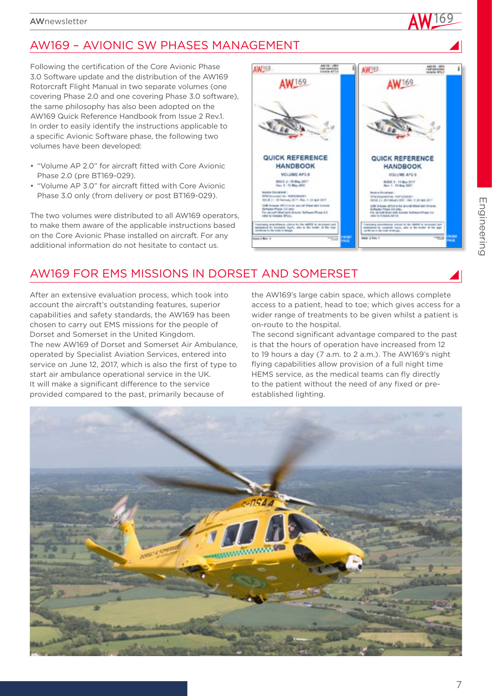# AW169 – AVIONIC SW PHASES MANAGEMENT

Following the certification of the Core Avionic Phase 3.0 Software update and the distribution of the AW169 Rotorcraft Flight Manual in two separate volumes (one covering Phase 2.0 and one covering Phase 3.0 software), the same philosophy has also been adopted on the AW169 Quick Reference Handbook from Issue 2 Rev.1. In order to easily identify the instructions applicable to a specific Avionic Software phase, the following two volumes have been developed:

- "Volume AP 2.0" for aircraft fitted with Core Avionic Phase 2.0 (pre BT169-029).
- "Volume AP 3.0" for aircraft fitted with Core Avionic Phase 3.0 only (from delivery or post BT169-029).

The two volumes were distributed to all AW169 operators, to make them aware of the applicable instructions based on the Core Avionic Phase installed on aircraft. For any additional information do not hesitate to contact us.



# AW169 FOR EMS MISSIONS IN DORSET AND SOMERSET

After an extensive evaluation process, which took into account the aircraft's outstanding features, superior capabilities and safety standards, the AW169 has been chosen to carry out EMS missions for the people of Dorset and Somerset in the United Kingdom. The new AW169 of Dorset and Somerset Air Ambulance, operated by Specialist Aviation Services, entered into service on June 12, 2017, which is also the first of type to start air ambulance operational service in the UK. It will make a significant difference to the service provided compared to the past, primarily because of

the AW169's large cabin space, which allows complete access to a patient, head to toe; which gives access for a wider range of treatments to be given whilst a patient is on-route to the hospital.

The second significant advantage compared to the past is that the hours of operation have increased from 12 to 19 hours a day (7 a.m. to 2 a.m.). The AW169's night flying capabilities allow provision of a full night time HEMS service, as the medical teams can fly directly to the patient without the need of any fixed or preestablished lighting.

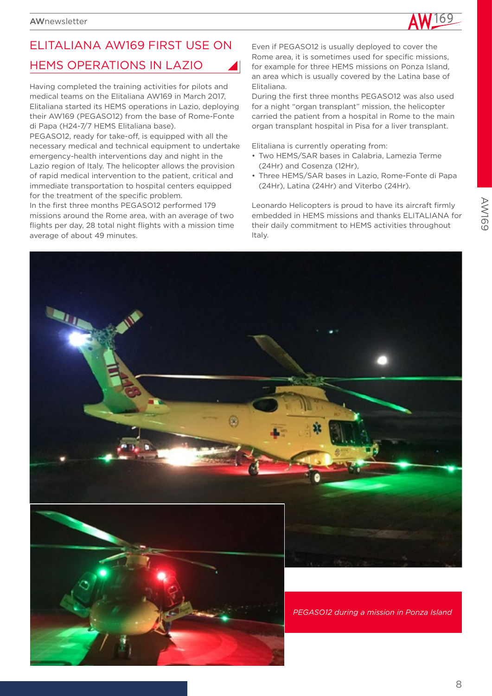

# ELITALIANA AW169 FIRST USE ON HEMS OPERATIONS IN LAZIO

Having completed the training activities for pilots and medical teams on the Elitaliana AW169 in March 2017, Elitaliana started its HEMS operations in Lazio, deploying their AW169 (PEGASO12) from the base of Rome-Fonte di Papa (H24-7/7 HEMS Elitaliana base).

PEGASO12, ready for take-off, is equipped with all the necessary medical and technical equipment to undertake emergency-health interventions day and night in the Lazio region of Italy. The helicopter allows the provision of rapid medical intervention to the patient, critical and immediate transportation to hospital centers equipped for the treatment of the specific problem.

In the first three months PEGASO12 performed 179 missions around the Rome area, with an average of two flights per day, 28 total night flights with a mission time average of about 49 minutes.

Even if PEGASO12 is usually deployed to cover the Rome area, it is sometimes used for specific missions, for example for three HEMS missions on Ponza Island, an area which is usually covered by the Latina base of Elitaliana.

During the first three months PEGASO12 was also used for a night "organ transplant" mission, the helicopter carried the patient from a hospital in Rome to the main organ transplant hospital in Pisa for a liver transplant.

Elitaliana is currently operating from:

- Two HEMS/SAR bases in Calabria, Lamezia Terme (24Hr) and Cosenza (12Hr),
- Three HEMS/SAR bases in Lazio, Rome-Fonte di Papa (24Hr), Latina (24Hr) and Viterbo (24Hr).

Leonardo Helicopters is proud to have its aircraft firmly embedded in HEMS missions and thanks ELITALIANA for their daily commitment to HEMS activities throughout Italy.

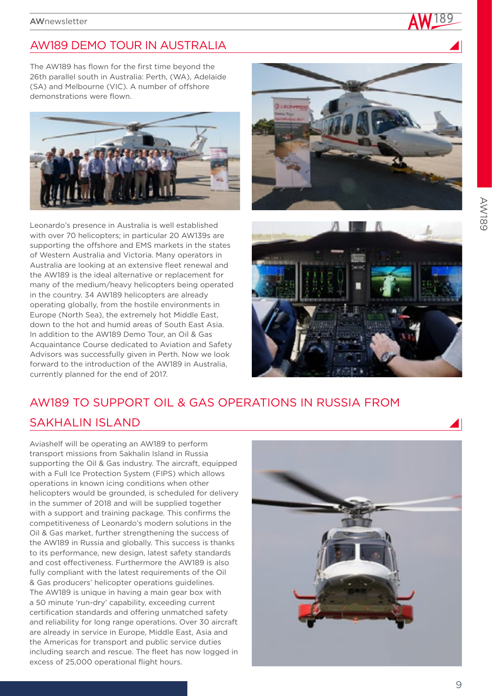# AW189 DEMO TOUR IN AUSTRALIA

The AW189 has flown for the first time beyond the 26th parallel south in Australia: Perth, (WA), Adelaide (SA) and Melbourne (VIC). A number of offshore demonstrations were flown.



Leonardo's presence in Australia is well established with over 70 helicopters; in particular 20 AW139s are supporting the offshore and EMS markets in the states of Western Australia and Victoria. Many operators in Australia are looking at an extensive fleet renewal and the AW189 is the ideal alternative or replacement for many of the medium/heavy helicopters being operated in the country. 34 AW189 helicopters are already operating globally, from the hostile environments in Europe (North Sea), the extremely hot Middle East, down to the hot and humid areas of South East Asia. In addition to the AW189 Demo Tour, an Oil & Gas Acquaintance Course dedicated to Aviation and Safety Advisors was successfully given in Perth. Now we look forward to the introduction of the AW189 in Australia, currently planned for the end of 2017.





# AW189 TO SUPPORT OIL & GAS OPERATIONS IN RUSSIA FROM

## SAKHALIN ISLAND

Aviashelf will be operating an AW189 to perform transport missions from Sakhalin Island in Russia supporting the Oil & Gas industry. The aircraft, equipped with a Full Ice Protection System (FIPS) which allows operations in known icing conditions when other helicopters would be grounded, is scheduled for delivery in the summer of 2018 and will be supplied together with a support and training package. This confirms the competitiveness of Leonardo's modern solutions in the Oil & Gas market, further strengthening the success of the AW189 in Russia and globally. This success is thanks to its performance, new design, latest safety standards and cost effectiveness. Furthermore the AW189 is also fully compliant with the latest requirements of the Oil & Gas producers' helicopter operations guidelines. The AW189 is unique in having a main gear box with a 50 minute 'run-dry' capability, exceeding current certification standards and offering unmatched safety and reliability for long range operations. Over 30 aircraft are already in service in Europe, Middle East, Asia and the Americas for transport and public service duties including search and rescue. The fleet has now logged in excess of 25,000 operational flight hours.

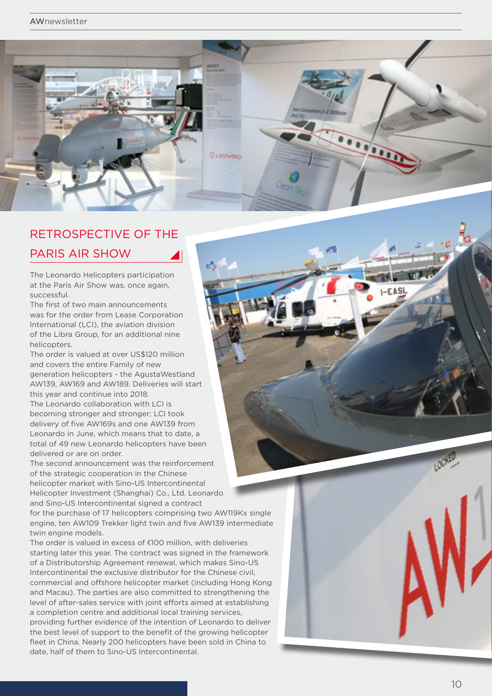### **AWnewsletter**



# RETROSPECTIVE OF THE PARIS AIR SHOW

The Leonardo Helicopters participation at the Paris Air Show was, once again, successful.

The first of two main announcements was for the order from Lease Corporation International (LCI), the aviation division of the Libra Group, for an additional nine helicopters.

The order is valued at over US\$120 million and covers the entire Family of new generation helicopters - the AgustaWestland AW139, AW169 and AW189. Deliveries will start this year and continue into 2018. The Leonardo collaboration with LCI is becoming stronger and stronger; LCI took delivery of five AW169s and one AW139 from Leonardo in June, which means that to date, a total of 49 new Leonardo helicopters have been

delivered or are on order. The second announcement was the reinforcement of the strategic cooperation in the Chinese helicopter market with Sino-US Intercontinental

Helicopter Investment (Shanghai) Co., Ltd. Leonardo and Sino-US Intercontinental signed a contract for the purchase of 17 helicopters comprising two AW119Kx single

engine, ten AW109 Trekker light twin and five AW139 intermediate twin engine models.

The order is valued in excess of €100 million, with deliveries starting later this year. The contract was signed in the framework of a Distributorship Agreement renewal, which makes Sino-US Intercontinental the exclusive distributor for the Chinese civil, commercial and offshore helicopter market (including Hong Kong and Macau). The parties are also committed to strengthening the level of after-sales service with joint efforts aimed at establishing a completion centre and additional local training services, providing further evidence of the intention of Leonardo to deliver the best level of support to the benefit of the growing helicopter fleet in China. Nearly 200 helicopters have been sold in China to date, half of them to Sino-US Intercontinental.

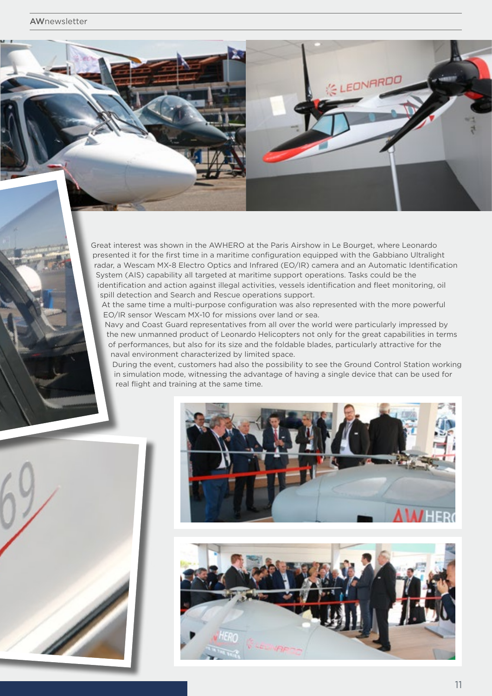Great interest was shown in the AWHERO at the Paris Airshow in Le Bourget, where Leonardo presented it for the first time in a maritime configuration equipped with the Gabbiano Ultralight radar, a Wescam MX-8 Electro Optics and Infrared (EO/IR) camera and an Automatic Identification System (AIS) capability all targeted at maritime support operations. Tasks could be the identification and action against illegal activities, vessels identification and fleet monitoring, oil spill detection and Search and Rescue operations support.

At the same time a multi-purpose configuration was also represented with the more powerful EO/IR sensor Wescam MX-10 for missions over land or sea.

Navy and Coast Guard representatives from all over the world were particularly impressed by the new unmanned product of Leonardo Helicopters not only for the great capabilities in terms of performances, but also for its size and the foldable blades, particularly attractive for the naval environment characterized by limited space.

During the event, customers had also the possibility to see the Ground Control Station working in simulation mode, witnessing the advantage of having a single device that can be used for real flight and training at the same time.





EONARDO